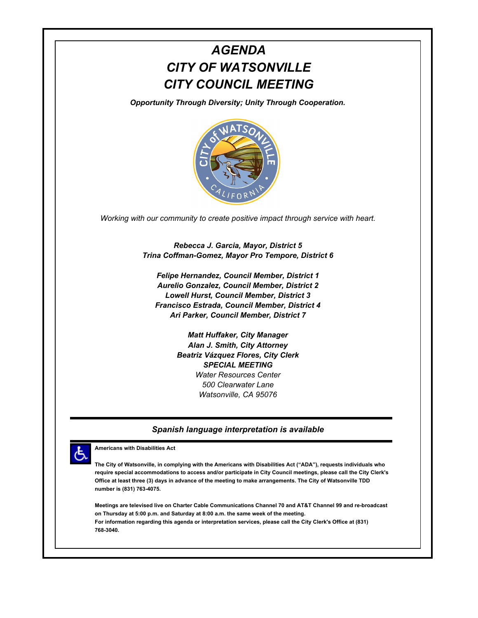# *AGENDA CITY OF WATSONVILLE CITY COUNCIL MEETING*

*Opportunity Through Diversity; Unity Through Cooperation.*



*Working with our community to create positive impact through service with heart.*

*Rebecca J. Garcia, Mayor, District 5 Trina Coffman-Gomez, Mayor Pro Tempore, District 6*

*Felipe Hernandez, Council Member, District 1 Aurelio Gonzalez, Council Member, District 2 Lowell Hurst, Council Member, District 3 Francisco Estrada, Council Member, District 4 Ari Parker, Council Member, District 7*

> *Matt Huffaker, City Manager Alan J. Smith, City Attorney Beatriz Vázquez Flores, City Clerk SPECIAL MEETING Water Resources Center 500 Clearwater Lane Watsonville, CA 95076*

#### *Spanish language interpretation is available*



**Americans with Disabilities Act**

**The City of Watsonville, in complying with the Americans with Disabilities Act ("ADA"), requests individuals who require special accommodations to access and/or participate in City Council meetings, please call the City Clerk's Office at least three (3) days in advance of the meeting to make arrangements. The City of Watsonville TDD number is (831) 763-4075.**

**Meetings are televised live on Charter Cable Communications Channel 70 and AT&T Channel 99 and re-broadcast on Thursday at 5:00 p.m. and Saturday at 8:00 a.m. the same week of the meeting. For information regarding this agenda or interpretation services, please call the City Clerk's Office at (831) 768-3040.**